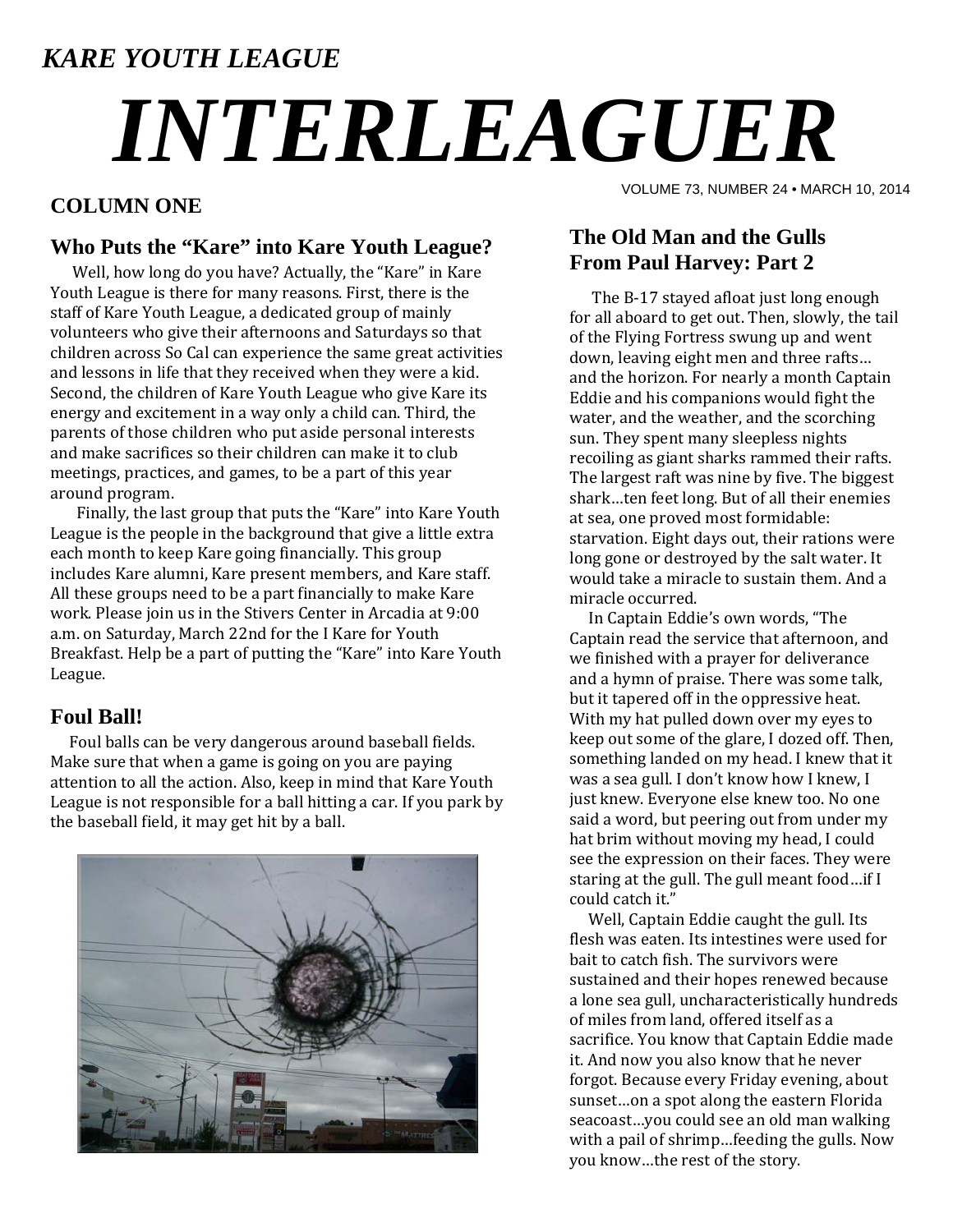# *KARE YOUTH LEAGUE*

# *INTERLEAGUER*

### **COLUMN ONE**

## **Who Puts the "Kare" into Kare Youth League?**

Well, how long do you have? Actually, the "Kare" in Kare Youth League is there for many reasons. First, there is the staff of Kare Youth League, a dedicated group of mainly volunteers who give their afternoons and Saturdays so that children across So Cal can experience the same great activities and lessons in life that they received when they were a kid. Second, the children of Kare Youth League who give Kare its energy and excitement in a way only a child can. Third, the parents of those children who put aside personal interests and make sacrifices so their children can make it to club meetings, practices, and games, to be a part of this year around program.

Finally, the last group that puts the "Kare" into Kare Youth League is the people in the background that give a little extra each month to keep Kare going financially. This group includes Kare alumni, Kare present members, and Kare staff. All these groups need to be a part financially to make Kare work. Please join us in the Stivers Center in Arcadia at 9:00 a.m. on Saturday, March 22nd for the I Kare for Youth Breakfast. Help be a part of putting the "Kare" into Kare Youth League. 

#### **Foul Ball!**

Foul balls can be very dangerous around baseball fields. Make sure that when a game is going on you are paying attention to all the action. Also, keep in mind that Kare Youth League is not responsible for a ball hitting a car. If you park by the baseball field, it may get hit by a ball.



VOLUME 73, NUMBER 24 • MARCH 10, 2014

### **The Old Man and the Gulls From Paul Harvey: Part 2**

The B-17 stayed afloat just long enough for all aboard to get out. Then, slowly, the tail of the Flying Fortress swung up and went down, leaving eight men and three rafts... and the horizon. For nearly a month Captain Eddie and his companions would fight the water, and the weather, and the scorching sun. They spent many sleepless nights recoiling as giant sharks rammed their rafts. The largest raft was nine by five. The biggest shark...ten feet long. But of all their enemies at sea, one proved most formidable: starvation. Eight days out, their rations were long gone or destroyed by the salt water. It would take a miracle to sustain them. And a miracle occurred.

In Captain Eddie's own words, "The Captain read the service that afternoon, and we finished with a prayer for deliverance and a hymn of praise. There was some talk, but it tapered off in the oppressive heat. With my hat pulled down over my eyes to keep out some of the glare, I dozed off. Then, something landed on my head. I knew that it was a sea gull. I don't know how I knew, I just knew. Everyone else knew too. No one said a word, but peering out from under my hat brim without moving my head, I could see the expression on their faces. They were staring at the gull. The gull meant food...if I could catch it."

Well, Captain Eddie caught the gull. Its flesh was eaten. Its intestines were used for bait to catch fish. The survivors were sustained and their hopes renewed because a lone sea gull, uncharacteristically hundreds of miles from land, offered itself as a sacrifice. You know that Captain Eddie made it. And now you also know that he never forgot. Because every Friday evening, about sunset...on a spot along the eastern Florida seacoast...you could see an old man walking with a pail of shrimp...feeding the gulls. Now you know...the rest of the story.